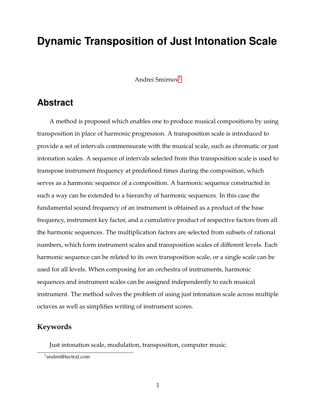# **Dynamic Transposition of Just Intonation Scale**

Andrei Smirnov<sup>1</sup>

# **Abstract**

A method is proposed which enables one to produce musical compositions by using transposition in place of harmonic progression. A transposition scale is introduced to provide a set of intervals commensurate with the musical scale, such as chromatic or just intonation scales. A sequence of intervals selected from this transposition scale is used to transpose instrument frequency at predefined times during the composition, which serves as a harmonic sequence of a composition. A harmonic sequence constructed in such a way can be extended to a hierarchy of harmonic sequences. In this case the fundamental sound frequency of an instrument is obtained as a product of the base frequency, instrument key factor, and a cumulative product of respective factors from all the harmonic sequences. The multiplication factors are selected from subsets of rational numbers, which form instrument scales and transposition scales of different levels. Each harmonic sequence can be related to its own transposition scale, or a single scale can be used for all levels. When composing for an orchestra of instruments, harmonic sequences and instrument scales can be assigned independently to each musical instrument. The method solves the problem of using just intonation scale across multiple octaves as well as simplifies writing of instrument scores.

#### **Keywords**

Just intonation scale, modulation, transposition, computer music.

<sup>1</sup>andrei@tectral.com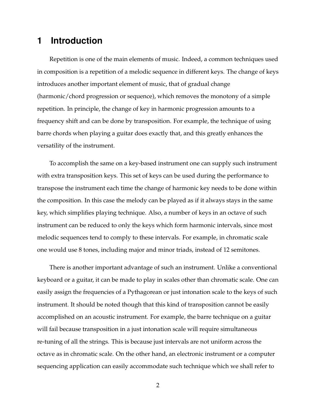#### **1 Introduction**

Repetition is one of the main elements of music. Indeed, a common techniques used in composition is a repetition of a melodic sequence in different keys. The change of keys introduces another important element of music, that of gradual change (harmonic/chord progression or sequence), which removes the monotony of a simple repetition. In principle, the change of key in harmonic progression amounts to a frequency shift and can be done by transposition. For example, the technique of using barre chords when playing a guitar does exactly that, and this greatly enhances the versatility of the instrument.

To accomplish the same on a key-based instrument one can supply such instrument with extra transposition keys. This set of keys can be used during the performance to transpose the instrument each time the change of harmonic key needs to be done within the composition. In this case the melody can be played as if it always stays in the same key, which simplifies playing technique. Also, a number of keys in an octave of such instrument can be reduced to only the keys which form harmonic intervals, since most melodic sequences tend to comply to these intervals. For example, in chromatic scale one would use 8 tones, including major and minor triads, instead of 12 semitones.

There is another important advantage of such an instrument. Unlike a conventional keyboard or a guitar, it can be made to play in scales other than chromatic scale. One can easily assign the frequencies of a Pythagorean or just intonation scale to the keys of such instrument. It should be noted though that this kind of transposition cannot be easily accomplished on an acoustic instrument. For example, the barre technique on a guitar will fail because transposition in a just intonation scale will require simultaneous re-tuning of all the strings. This is because just intervals are not uniform across the octave as in chromatic scale. On the other hand, an electronic instrument or a computer sequencing application can easily accommodate such technique which we shall refer to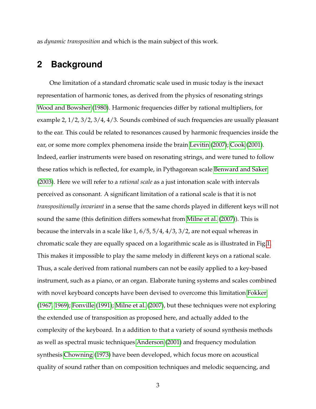as *dynamic transposition* and which is the main subject of this work.

#### **2 Background**

One limitation of a standard chromatic scale used in music today is the inexact representation of harmonic tones, as derived from the physics of resonating strings [Wood and Bowsher](#page-15-0) [\(1980\)](#page-15-0). Harmonic frequencies differ by rational multipliers, for example 2, 1/2, 3/2, 3/4, 4/3. Sounds combined of such frequencies are usually pleasant to the ear. This could be related to resonances caused by harmonic frequencies inside the ear, or some more complex phenomena inside the brain [Levitin](#page-14-0) [\(2007\)](#page-14-0); [Cook](#page-14-1) [\(2001\)](#page-14-1). Indeed, earlier instruments were based on resonating strings, and were tuned to follow these ratios which is reflected, for example, in Pythagorean scale [Benward and Saker](#page-14-2) [\(2003\)](#page-14-2). Here we will refer to a *rational scale* as a just intonation scale with intervals perceived as consonant. A significant limitation of a rational scale is that it is not *transpositionally invariant* in a sense that the same chords played in different keys will not sound the same (this definition differs somewhat from [Milne et al.](#page-14-3) [\(2007\)](#page-14-3)). This is because the intervals in a scale like 1, 6/5, 5/4, 4/3, 3/2, are not equal whereas in chromatic scale they are equally spaced on a logarithmic scale as is illustrated in Fig[.1.](#page-4-0) This makes it impossible to play the same melody in different keys on a rational scale. Thus, a scale derived from rational numbers can not be easily applied to a key-based instrument, such as a piano, or an organ. Elaborate tuning systems and scales combined with novel keyboard concepts have been devised to overcome this limitation [Fokker](#page-14-4) [\(1967,](#page-14-4) [1969\)](#page-14-5); [Fonville](#page-14-6) [\(1991\)](#page-14-6); [Milne et al.](#page-14-3) [\(2007\)](#page-14-3), but these techniques were not exploring the extended use of transposition as proposed here, and actually added to the complexity of the keyboard. In a addition to that a variety of sound synthesis methods as well as spectral music techniques [Anderson](#page-13-0) [\(2001\)](#page-13-0) and frequency modulation synthesis [Chowning](#page-14-7) [\(1973\)](#page-14-7) have been developed, which focus more on acoustical quality of sound rather than on composition techniques and melodic sequencing, and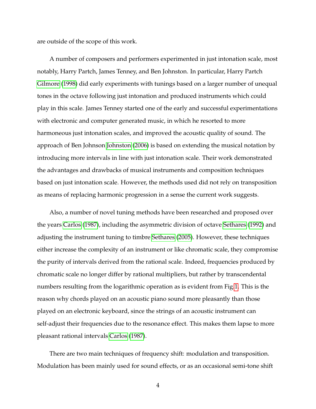are outside of the scope of this work.

A number of composers and performers experimented in just intonation scale, most notably, Harry Partch, James Tenney, and Ben Johnston. In particular, Harry Partch [Gilmore](#page-14-8) [\(1998\)](#page-14-8) did early experiments with tunings based on a larger number of unequal tones in the octave following just intonation and produced instruments which could play in this scale. James Tenney started one of the early and successful experimentations with electronic and computer generated music, in which he resorted to more harmoneous just intonation scales, and improved the acoustic quality of sound. The approach of Ben Johnson [Johnston](#page-14-9) [\(2006\)](#page-14-9) is based on extending the musical notation by introducing more intervals in line with just intonation scale. Their work demonstrated the advantages and drawbacks of musical instruments and composition techniques based on just intonation scale. However, the methods used did not rely on transposition as means of replacing harmonic progression in a sense the current work suggests.

Also, a number of novel tuning methods have been researched and proposed over the years [Carlos](#page-14-10) [\(1987\)](#page-14-10), including the asymmetric division of octave [Sethares](#page-14-11) [\(1992\)](#page-14-11) and adjusting the instrument tuning to timbre [Sethares](#page-15-1) [\(2005\)](#page-15-1). However, these techniques either increase the complexity of an instrument or like chromatic scale, they compromise the purity of intervals derived from the rational scale. Indeed, frequencies produced by chromatic scale no longer differ by rational multipliers, but rather by transcendental numbers resulting from the logarithmic operation as is evident from Fig[.1.](#page-4-0) This is the reason why chords played on an acoustic piano sound more pleasantly than those played on an electronic keyboard, since the strings of an acoustic instrument can self-adjust their frequencies due to the resonance effect. This makes them lapse to more pleasant rational intervals [Carlos](#page-14-10) [\(1987\)](#page-14-10).

There are two main techniques of frequency shift: modulation and transposition. Modulation has been mainly used for sound effects, or as an occasional semi-tone shift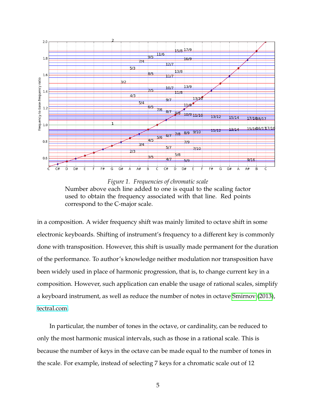<span id="page-4-0"></span>

*Figure 1. Frequencies of chromatic scale* Number above each line added to one is equal to the scaling factor used to obtain the frequency associated with that line. Red points correspond to the C-major scale.

in a composition. A wider frequency shift was mainly limited to octave shift in some electronic keyboards. Shifting of instrument's frequency to a different key is commonly done with transposition. However, this shift is usually made permanent for the duration of the performance. To author's knowledge neither modulation nor transposition have been widely used in place of harmonic progression, that is, to change current key in a composition. However, such application can enable the usage of rational scales, simplify a keyboard instrument, as well as reduce the number of notes in octave [Smirnov](#page-15-2) [\(2013\)](#page-15-2), [tectral.com.](http://tectral.com)

In particular, the number of tones in the octave, or cardinality, can be reduced to only the most harmonic musical intervals, such as those in a rational scale. This is because the number of keys in the octave can be made equal to the number of tones in the scale. For example, instead of selecting 7 keys for a chromatic scale out of 12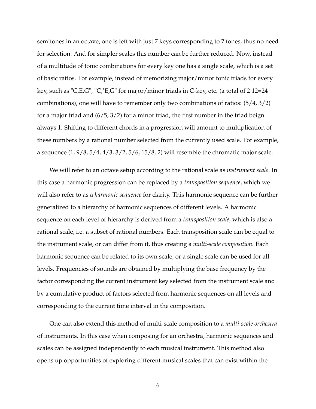semitones in an octave, one is left with just 7 keys corresponding to 7 tones, thus no need for selection. And for simpler scales this number can be further reduced. Now, instead of a multitude of tonic combinations for every key one has a single scale, which is a set of basic ratios. For example, instead of memorizing major/minor tonic triads for every key, such as "C,E,G", "C, $E$ ,G" for major/minor triads in C-key, etc. (a total of 2·12=24 combinations), one will have to remember only two combinations of ratios: (5/4, 3/2) for a major triad and (6/5, 3/2) for a minor triad, the first number in the triad beign always 1. Shifting to different chords in a progression will amount to multiplication of these numbers by a rational number selected from the currently used scale. For example, a sequence  $(1, 9/8, 5/4, 4/3, 3/2, 5/6, 15/8, 2)$  will resemble the chromatic major scale.

We will refer to an octave setup according to the rational scale as *instrument scale*. In this case a harmonic progression can be replaced by a *transposition sequence*, which we will also refer to as a *harmonic sequence* for clarity. This harmonic sequence can be further generalized to a hierarchy of harmonic sequences of different levels. A harmonic sequence on each level of hierarchy is derived from a *transposition scale*, which is also a rational scale, i.e. a subset of rational numbers. Each transposition scale can be equal to the instrument scale, or can differ from it, thus creating a *multi-scale composition*. Each harmonic sequence can be related to its own scale, or a single scale can be used for all levels. Frequencies of sounds are obtained by multiplying the base frequency by the factor corresponding the current instrument key selected from the instrument scale and by a cumulative product of factors selected from harmonic sequences on all levels and corresponding to the current time interval in the composition.

One can also extend this method of multi-scale composition to a *multi-scale orchestra* of instruments. In this case when composing for an orchestra, harmonic sequences and scales can be assigned independently to each musical instrument. This method also opens up opportunities of exploring different musical scales that can exist within the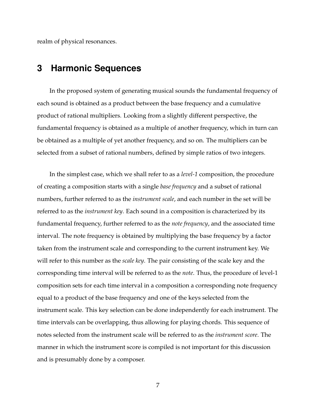realm of physical resonances.

#### **3 Harmonic Sequences**

In the proposed system of generating musical sounds the fundamental frequency of each sound is obtained as a product between the base frequency and a cumulative product of rational multipliers. Looking from a slightly different perspective, the fundamental frequency is obtained as a multiple of another frequency, which in turn can be obtained as a multiple of yet another frequency, and so on. The multipliers can be selected from a subset of rational numbers, defined by simple ratios of two integers.

In the simplest case, which we shall refer to as a *level-1* composition, the procedure of creating a composition starts with a single *base frequency* and a subset of rational numbers, further referred to as the *instrument scale*, and each number in the set will be referred to as the *instrument key*. Each sound in a composition is characterized by its fundamental frequency, further referred to as the *note frequency*, and the associated time interval. The note frequency is obtained by multiplying the base frequency by a factor taken from the instrument scale and corresponding to the current instrument key. We will refer to this number as the *scale key*. The pair consisting of the scale key and the corresponding time interval will be referred to as the *note*. Thus, the procedure of level-1 composition sets for each time interval in a composition a corresponding note frequency equal to a product of the base frequency and one of the keys selected from the instrument scale. This key selection can be done independently for each instrument. The time intervals can be overlapping, thus allowing for playing chords. This sequence of notes selected from the instrument scale will be referred to as the *instrument score*. The manner in which the instrument score is compiled is not important for this discussion and is presumably done by a composer.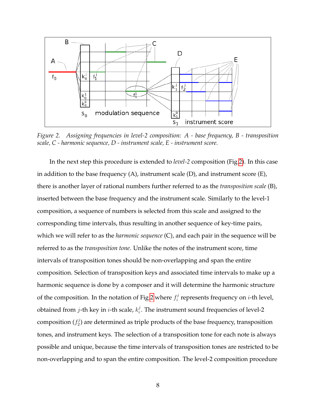<span id="page-7-0"></span>

*Figure 2. Assigning frequencies in level-2 composition: A - base frequency, B - transposition scale, C - harmonic sequence, D - instrument scale, E - instrument score.*

In the next step this procedure is extended to *level-2* composition (Fig[.2\)](#page-7-0). In this case in addition to the base frequency (A), instrument scale (D), and instrument score (E), there is another layer of rational numbers further referred to as the *transposition scale* (B), inserted between the base frequency and the instrument scale. Similarly to the level-1 composition, a sequence of numbers is selected from this scale and assigned to the corresponding time intervals, thus resulting in another sequence of key-time pairs, which we will refer to as the *harmonic sequence* (C), and each pair in the sequence will be referred to as the *transposition tone*. Unlike the notes of the instrument score, time intervals of transposition tones should be non-overlapping and span the entire composition. Selection of transposition keys and associated time intervals to make up a harmonic sequence is done by a composer and it will determine the harmonic structure of the composition. In the notation of Fig[.2](#page-7-0) where  $f_i^j$  $i$  represents frequency on *i*-th level, obtained from *j*-th key in *i*-th scale,  $k_i^j$  $i_\cdot^j$ . The instrument sound frequencies of level-2 composition ( $f_2^j$  $\mathbb{Z}_2^{(2)}$  are determined as triple products of the base frequency, transposition tones, and instrument keys. The selection of a transposition tone for each note is always possible and unique, because the time intervals of transposition tones are restricted to be non-overlapping and to span the entire composition. The level-2 composition procedure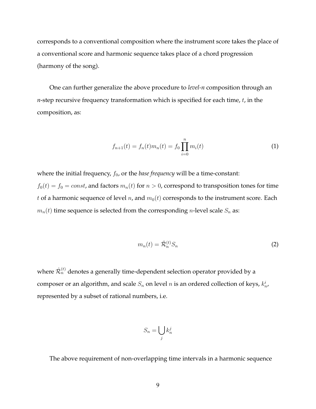corresponds to a conventional composition where the instrument score takes the place of a conventional score and harmonic sequence takes place of a chord progression (harmony of the song).

One can further generalize the above procedure to *level-n* composition through an  $n$ -step recursive frequency transformation which is specified for each time,  $t$ , in the composition, as:

<span id="page-8-1"></span>
$$
f_{n+1}(t) = f_n(t)m_n(t) = f_0 \prod_{i=0}^n m_i(t)
$$
 (1)

where the initial frequency,  $f_0$ , or the *base frequency* will be a time-constant:

 $f_0(t) = f_0 = const$ , and factors  $m_n(t)$  for  $n > 0$ , correspond to transposition tones for time t of a harmonic sequence of level n, and  $m_0(t)$  corresponds to the instrument score. Each  $m_n(t)$  time sequence is selected from the corresponding *n*-level scale  $S_n$  as:

<span id="page-8-0"></span>
$$
m_n(t) = \hat{\mathcal{R}}_n^{(t)} S_n \tag{2}
$$

where  $\hat{\mathcal{R}}_n^{(t)}$  denotes a generally time-dependent selection operator provided by a composer or an algorithm, and scale  $S_n$  on level  $n$  is an ordered collection of keys,  $k_n^i$ , represented by a subset of rational numbers, i.e.

$$
S_n = \bigcup_j k_n^j
$$

The above requirement of non-overlapping time intervals in a harmonic sequence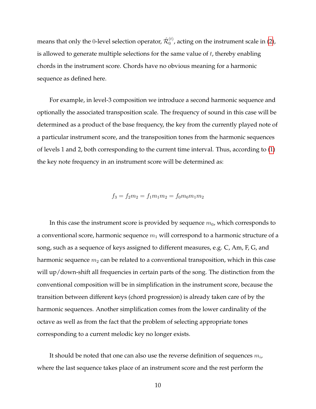means that only the 0-level selection operator,  $\hat{\mathcal{R}}_0^{(t)}$  $_0^{(t)}$ , acting on the instrument scale in [\(2\)](#page-8-0), is allowed to generate multiple selections for the same value of  $t$ , thereby enabling chords in the instrument score. Chords have no obvious meaning for a harmonic sequence as defined here.

For example, in level-3 composition we introduce a second harmonic sequence and optionally the associated transposition scale. The frequency of sound in this case will be determined as a product of the base frequency, the key from the currently played note of a particular instrument score, and the transposition tones from the harmonic sequences of levels 1 and 2, both corresponding to the current time interval. Thus, according to [\(1\)](#page-8-1) the key note frequency in an instrument score will be determined as:

$$
f_3 = f_2 m_2 = f_1 m_1 m_2 = f_0 m_0 m_1 m_2
$$

In this case the instrument score is provided by sequence  $m_0$ , which corresponds to a conventional score, harmonic sequence  $m_1$  will correspond to a harmonic structure of a song, such as a sequence of keys assigned to different measures, e.g. C, Am, F, G, and harmonic sequence  $m_2$  can be related to a conventional transposition, which in this case will up/down-shift all frequencies in certain parts of the song. The distinction from the conventional composition will be in simplification in the instrument score, because the transition between different keys (chord progression) is already taken care of by the harmonic sequences. Another simplification comes from the lower cardinality of the octave as well as from the fact that the problem of selecting appropriate tones corresponding to a current melodic key no longer exists.

It should be noted that one can also use the reverse definition of sequences  $m_i$ , where the last sequence takes place of an instrument score and the rest perform the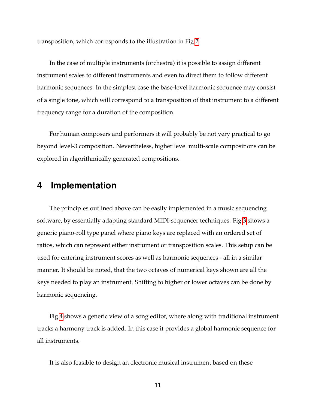transposition, which corresponds to the illustration in Fig[.2.](#page-7-0)

In the case of multiple instruments (orchestra) it is possible to assign different instrument scales to different instruments and even to direct them to follow different harmonic sequences. In the simplest case the base-level harmonic sequence may consist of a single tone, which will correspond to a transposition of that instrument to a different frequency range for a duration of the composition.

For human composers and performers it will probably be not very practical to go beyond level-3 composition. Nevertheless, higher level multi-scale compositions can be explored in algorithmically generated compositions.

#### **4 Implementation**

The principles outlined above can be easily implemented in a music sequencing software, by essentially adapting standard MIDI-sequencer techniques. Fig[.3](#page-11-0) shows a generic piano-roll type panel where piano keys are replaced with an ordered set of ratios, which can represent either instrument or transposition scales. This setup can be used for entering instrument scores as well as harmonic sequences - all in a similar manner. It should be noted, that the two octaves of numerical keys shown are all the keys needed to play an instrument. Shifting to higher or lower octaves can be done by harmonic sequencing.

Fig[.4](#page-12-0) shows a generic view of a song editor, where along with traditional instrument tracks a harmony track is added. In this case it provides a global harmonic sequence for all instruments.

It is also feasible to design an electronic musical instrument based on these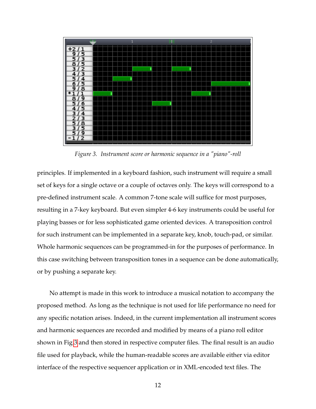<span id="page-11-0"></span>

*Figure 3. Instrument score or harmonic sequence in a "piano"-roll*

principles. If implemented in a keyboard fashion, such instrument will require a small set of keys for a single octave or a couple of octaves only. The keys will correspond to a pre-defined instrument scale. A common 7-tone scale will suffice for most purposes, resulting in a 7-key keyboard. But even simpler 4-6 key instruments could be useful for playing basses or for less sophisticated game oriented devices. A transposition control for such instrument can be implemented in a separate key, knob, touch-pad, or similar. Whole harmonic sequences can be programmed-in for the purposes of performance. In this case switching between transposition tones in a sequence can be done automatically, or by pushing a separate key.

No attempt is made in this work to introduce a musical notation to accompany the proposed method. As long as the technique is not used for life performance no need for any specific notation arises. Indeed, in the current implementation all instrument scores and harmonic sequences are recorded and modified by means of a piano roll editor shown in Fig[.3](#page-11-0) and then stored in respective computer files. The final result is an audio file used for playback, while the human-readable scores are available either via editor interface of the respective sequencer application or in XML-encoded text files. The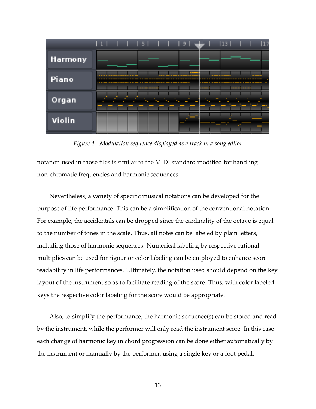<span id="page-12-0"></span>

*Figure 4. Modulation sequence displayed as a track in a song editor*

notation used in those files is similar to the MIDI standard modified for handling non-chromatic frequencies and harmonic sequences.

Nevertheless, a variety of specific musical notations can be developed for the purpose of life performance. This can be a simplification of the conventional notation. For example, the accidentals can be dropped since the cardinality of the octave is equal to the number of tones in the scale. Thus, all notes can be labeled by plain letters, including those of harmonic sequences. Numerical labeling by respective rational multiplies can be used for rigour or color labeling can be employed to enhance score readability in life performances. Ultimately, the notation used should depend on the key layout of the instrument so as to facilitate reading of the score. Thus, with color labeled keys the respective color labeling for the score would be appropriate.

Also, to simplify the performance, the harmonic sequence(s) can be stored and read by the instrument, while the performer will only read the instrument score. In this case each change of harmonic key in chord progression can be done either automatically by the instrument or manually by the performer, using a single key or a foot pedal.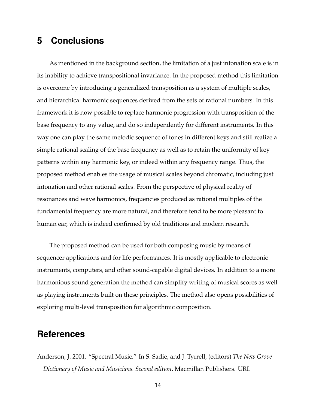# **5 Conclusions**

As mentioned in the background section, the limitation of a just intonation scale is in its inability to achieve transpositional invariance. In the proposed method this limitation is overcome by introducing a generalized transposition as a system of multiple scales, and hierarchical harmonic sequences derived from the sets of rational numbers. In this framework it is now possible to replace harmonic progression with transposition of the base frequency to any value, and do so independently for different instruments. In this way one can play the same melodic sequence of tones in different keys and still realize a simple rational scaling of the base frequency as well as to retain the uniformity of key patterns within any harmonic key, or indeed within any frequency range. Thus, the proposed method enables the usage of musical scales beyond chromatic, including just intonation and other rational scales. From the perspective of physical reality of resonances and wave harmonics, frequencies produced as rational multiples of the fundamental frequency are more natural, and therefore tend to be more pleasant to human ear, which is indeed confirmed by old traditions and modern research.

The proposed method can be used for both composing music by means of sequencer applications and for life performances. It is mostly applicable to electronic instruments, computers, and other sound-capable digital devices. In addition to a more harmonious sound generation the method can simplify writing of musical scores as well as playing instruments built on these principles. The method also opens possibilities of exploring multi-level transposition for algorithmic composition.

### **References**

<span id="page-13-0"></span>Anderson, J. 2001. "Spectral Music." In S. Sadie, and J. Tyrrell, (editors) *The New Grove Dictionary of Music and Musicians. Second edition*. Macmillan Publishers. URL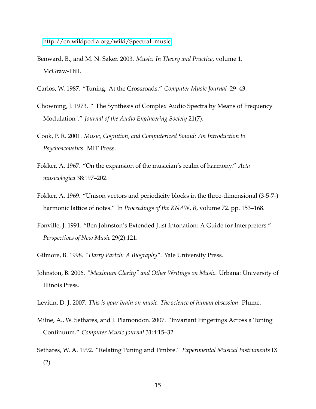[http://en.wikipedia.org/wiki/Spectral\\_music.](http://en.wikipedia.org/wiki/Spectral_music)

- <span id="page-14-2"></span>Benward, B., and M. N. Saker. 2003. *Music: In Theory and Practice*, volume 1. McGraw-Hill.
- <span id="page-14-10"></span>Carlos, W. 1987. "Tuning: At the Crossroads." *Computer Music Journal* :29–43.
- <span id="page-14-7"></span>Chowning, J. 1973. ""The Synthesis of Complex Audio Spectra by Means of Frequency Modulation"." *Journal of the Audio Engineering Society* 21(7).
- <span id="page-14-1"></span>Cook, P. R. 2001. *Music, Cognition, and Computerized Sound: An Introduction to Psychoacoustics*. MIT Press.
- <span id="page-14-4"></span>Fokker, A. 1967. "On the expansion of the musician's realm of harmony." *Acta musicologica* 38:197–202.
- <span id="page-14-5"></span>Fokker, A. 1969. "Unison vectors and periodicity blocks in the three-dimensional (3-5-7-) harmonic lattice of notes." In *Proceedings of the KNAW*, *B*, volume 72. pp. 153–168.
- <span id="page-14-6"></span>Fonville, J. 1991. "Ben Johnston's Extended Just Intonation: A Guide for Interpreters." *Perspectives of New Music* 29(2):121.
- <span id="page-14-8"></span>Gilmore, B. 1998. *"Harry Partch: A Biography"*. Yale University Press.
- <span id="page-14-9"></span>Johnston, B. 2006. *"Maximum Clarity" and Other Writings on Music*. Urbana: University of Illinois Press.
- <span id="page-14-0"></span>Levitin, D. J. 2007. *This is your brain on music. The science of human obsession*. Plume.
- <span id="page-14-3"></span>Milne, A., W. Sethares, and J. Plamondon. 2007. "Invariant Fingerings Across a Tuning Continuum." *Computer Music Journal* 31:4:15–32.
- <span id="page-14-11"></span>Sethares, W. A. 1992. "Relating Tuning and Timbre." *Experimental Musical Instruments* IX (2).